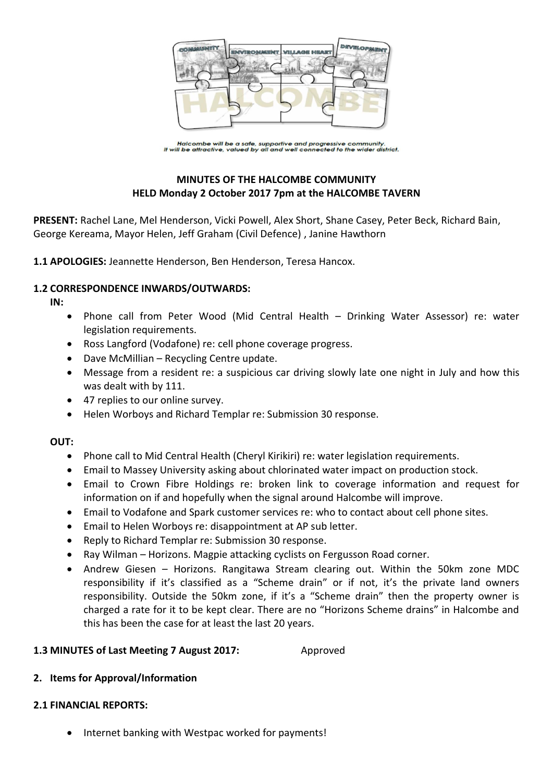

Halcombe will be a safe, supportive and progressive community.<br>It will be attractive, valued by all and well connected to the wider district.

# **MINUTES OF THE HALCOMBE COMMUNITY HELD Monday 2 October 2017 7pm at the HALCOMBE TAVERN**

**PRESENT:** Rachel Lane, Mel Henderson, Vicki Powell, Alex Short, Shane Casey, Peter Beck, Richard Bain, George Kereama, Mayor Helen, Jeff Graham (Civil Defence) , Janine Hawthorn

**1.1 APOLOGIES:** Jeannette Henderson, Ben Henderson, Teresa Hancox.

## **1.2 CORRESPONDENCE INWARDS/OUTWARDS:**

**IN:** 

- Phone call from Peter Wood (Mid Central Health Drinking Water Assessor) re: water legislation requirements.
- Ross Langford (Vodafone) re: cell phone coverage progress.
- Dave McMillian Recycling Centre update.
- Message from a resident re: a suspicious car driving slowly late one night in July and how this was dealt with by 111.
- 47 replies to our online survey.
- Helen Worboys and Richard Templar re: Submission 30 response.

## **OUT:**

- Phone call to Mid Central Health (Cheryl Kirikiri) re: water legislation requirements.
- Email to Massey University asking about chlorinated water impact on production stock.
- Email to Crown Fibre Holdings re: broken link to coverage information and request for information on if and hopefully when the signal around Halcombe will improve.
- Email to Vodafone and Spark customer services re: who to contact about cell phone sites.
- Email to Helen Worboys re: disappointment at AP sub letter.
- Reply to Richard Templar re: Submission 30 response.
- Ray Wilman Horizons. Magpie attacking cyclists on Fergusson Road corner.
- Andrew Giesen Horizons. Rangitawa Stream clearing out. Within the 50km zone MDC responsibility if it's classified as a "Scheme drain" or if not, it's the private land owners responsibility. Outside the 50km zone, if it's a "Scheme drain" then the property owner is charged a rate for it to be kept clear. There are no "Horizons Scheme drains" in Halcombe and this has been the case for at least the last 20 years.

## **1.3 MINUTES of Last Meeting 7 August 2017:** Approved

# **2. Items for Approval/Information**

## **2.1 FINANCIAL REPORTS:**

• Internet banking with Westpac worked for payments!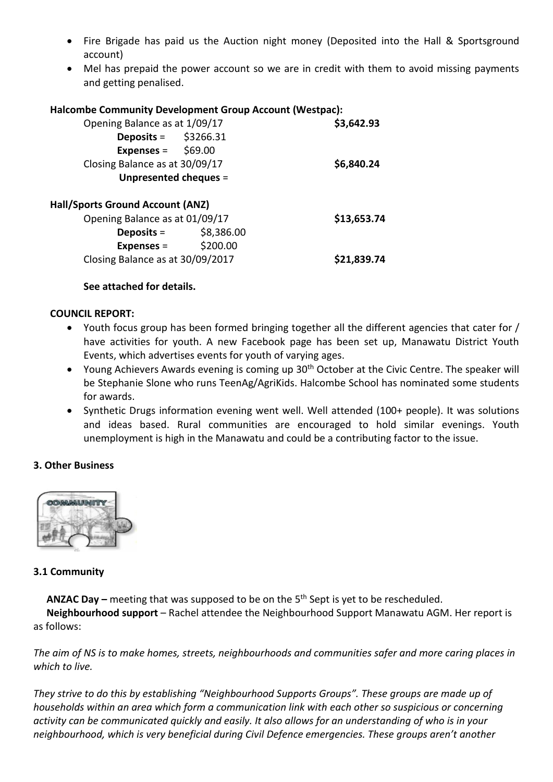- Fire Brigade has paid us the Auction night money (Deposited into the Hall & Sportsground account)
- Mel has prepaid the power account so we are in credit with them to avoid missing payments and getting penalised.

## **Halcombe Community Development Group Account (Westpac):**

| Opening Balance as at 1/09/17    | \$3,642.93 |             |
|----------------------------------|------------|-------------|
| Deposits = $$3266.31$            |            |             |
| Expenses = $$69.00$              |            |             |
| Closing Balance as at 30/09/17   | \$6,840.24 |             |
| Unpresented cheques =            |            |             |
| Hall/Sports Ground Account (ANZ) |            |             |
| Opening Balance as at 01/09/17   |            | \$13,653.74 |
| Deposits $=$                     | \$8,386.00 |             |
| <b>Expenses =</b>                | \$200.00   |             |
| Closing Balance as at 30/09/2017 |            | \$21,839.74 |

## **See attached for details.**

## **COUNCIL REPORT:**

- Youth focus group has been formed bringing together all the different agencies that cater for / have activities for youth. A new Facebook page has been set up, Manawatu District Youth Events, which advertises events for youth of varying ages.
- Young Achievers Awards evening is coming up 30<sup>th</sup> October at the Civic Centre. The speaker will be Stephanie Slone who runs TeenAg/AgriKids. Halcombe School has nominated some students for awards.
- Synthetic Drugs information evening went well. Well attended (100+ people). It was solutions and ideas based. Rural communities are encouraged to hold similar evenings. Youth unemployment is high in the Manawatu and could be a contributing factor to the issue.

## **3. Other Business**



## **3.1 Community**

**ANZAC Day –** meeting that was supposed to be on the 5<sup>th</sup> Sept is yet to be rescheduled.

**Neighbourhood support** – Rachel attendee the Neighbourhood Support Manawatu AGM. Her report is as follows:

*The aim of NS is to make homes, streets, neighbourhoods and communities safer and more caring places in which to live.*

*They strive to do this by establishing "Neighbourhood Supports Groups". These groups are made up of households within an area which form a communication link with each other so suspicious or concerning activity can be communicated quickly and easily. It also allows for an understanding of who is in your neighbourhood, which is very beneficial during Civil Defence emergencies. These groups aren't another*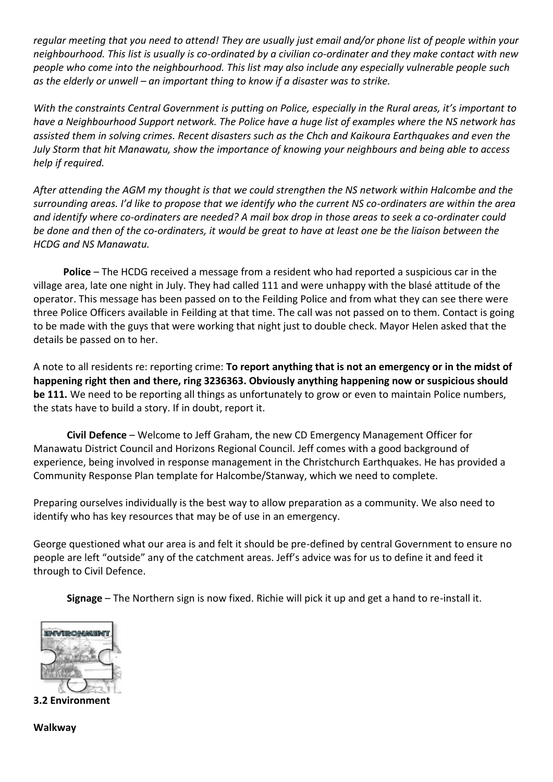*regular meeting that you need to attend! They are usually just email and/or phone list of people within your neighbourhood. This list is usually is co-ordinated by a civilian co-ordinater and they make contact with new people who come into the neighbourhood. This list may also include any especially vulnerable people such as the elderly or unwell – an important thing to know if a disaster was to strike.*

*With the constraints Central Government is putting on Police, especially in the Rural areas, it's important to have a Neighbourhood Support network. The Police have a huge list of examples where the NS network has assisted them in solving crimes. Recent disasters such as the Chch and Kaikoura Earthquakes and even the July Storm that hit Manawatu, show the importance of knowing your neighbours and being able to access help if required.*

*After attending the AGM my thought is that we could strengthen the NS network within Halcombe and the surrounding areas. I'd like to propose that we identify who the current NS co-ordinaters are within the area and identify where co-ordinaters are needed? A mail box drop in those areas to seek a co-ordinater could be done and then of the co-ordinaters, it would be great to have at least one be the liaison between the HCDG and NS Manawatu.* 

**Police** – The HCDG received a message from a resident who had reported a suspicious car in the village area, late one night in July. They had called 111 and were unhappy with the blasé attitude of the operator. This message has been passed on to the Feilding Police and from what they can see there were three Police Officers available in Feilding at that time. The call was not passed on to them. Contact is going to be made with the guys that were working that night just to double check. Mayor Helen asked that the details be passed on to her.

A note to all residents re: reporting crime: **To report anything that is not an emergency or in the midst of happening right then and there, ring 3236363. Obviously anything happening now or suspicious should be 111.** We need to be reporting all things as unfortunately to grow or even to maintain Police numbers, the stats have to build a story. If in doubt, report it.

**Civil Defence** – Welcome to Jeff Graham, the new CD Emergency Management Officer for Manawatu District Council and Horizons Regional Council. Jeff comes with a good background of experience, being involved in response management in the Christchurch Earthquakes. He has provided a Community Response Plan template for Halcombe/Stanway, which we need to complete.

Preparing ourselves individually is the best way to allow preparation as a community. We also need to identify who has key resources that may be of use in an emergency.

George questioned what our area is and felt it should be pre-defined by central Government to ensure no people are left "outside" any of the catchment areas. Jeff's advice was for us to define it and feed it through to Civil Defence.

**Signage** – The Northern sign is now fixed. Richie will pick it up and get a hand to re-install it.



**3.2 Environment**

**Walkway**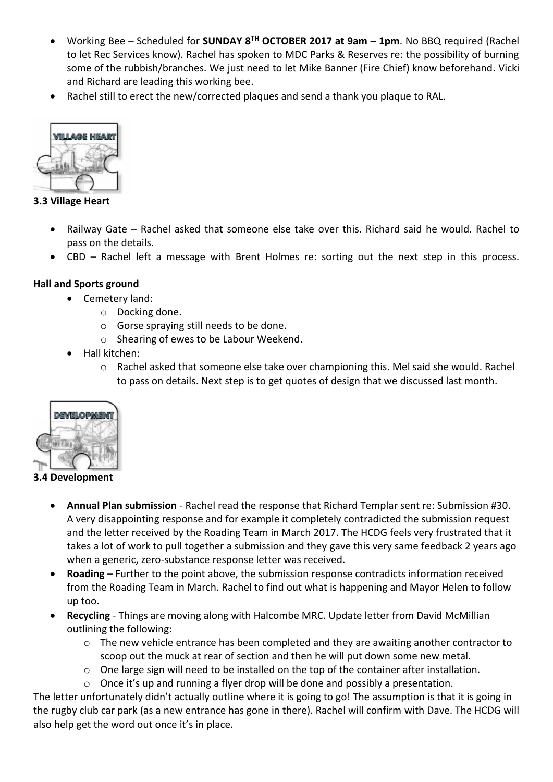- Working Bee Scheduled for **SUNDAY 8TH OCTOBER 2017 at 9am – 1pm**. No BBQ required (Rachel to let Rec Services know). Rachel has spoken to MDC Parks & Reserves re: the possibility of burning some of the rubbish/branches. We just need to let Mike Banner (Fire Chief) know beforehand. Vicki and Richard are leading this working bee.
- Rachel still to erect the new/corrected plaques and send a thank you plaque to RAL.



**3.3 Village Heart**

- Railway Gate Rachel asked that someone else take over this. Richard said he would. Rachel to pass on the details.
- CBD Rachel left a message with Brent Holmes re: sorting out the next step in this process.

# **Hall and Sports ground**

- Cemetery land:
	- o Docking done.
	- o Gorse spraying still needs to be done.
	- o Shearing of ewes to be Labour Weekend.
- Hall kitchen:
	- o Rachel asked that someone else take over championing this. Mel said she would. Rachel to pass on details. Next step is to get quotes of design that we discussed last month.



**3.4 Development**

- **Annual Plan submission** Rachel read the response that Richard Templar sent re: Submission #30. A very disappointing response and for example it completely contradicted the submission request and the letter received by the Roading Team in March 2017. The HCDG feels very frustrated that it takes a lot of work to pull together a submission and they gave this very same feedback 2 years ago when a generic, zero-substance response letter was received.
- **Roading** Further to the point above, the submission response contradicts information received from the Roading Team in March. Rachel to find out what is happening and Mayor Helen to follow up too.
- **Recycling** Things are moving along with Halcombe MRC. Update letter from David McMillian outlining the following:
	- o The new vehicle entrance has been completed and they are awaiting another contractor to scoop out the muck at rear of section and then he will put down some new metal.
	- $\circ$  One large sign will need to be installed on the top of the container after installation.
	- o Once it's up and running a flyer drop will be done and possibly a presentation.

The letter unfortunately didn't actually outline where it is going to go! The assumption is that it is going in the rugby club car park (as a new entrance has gone in there). Rachel will confirm with Dave. The HCDG will also help get the word out once it's in place.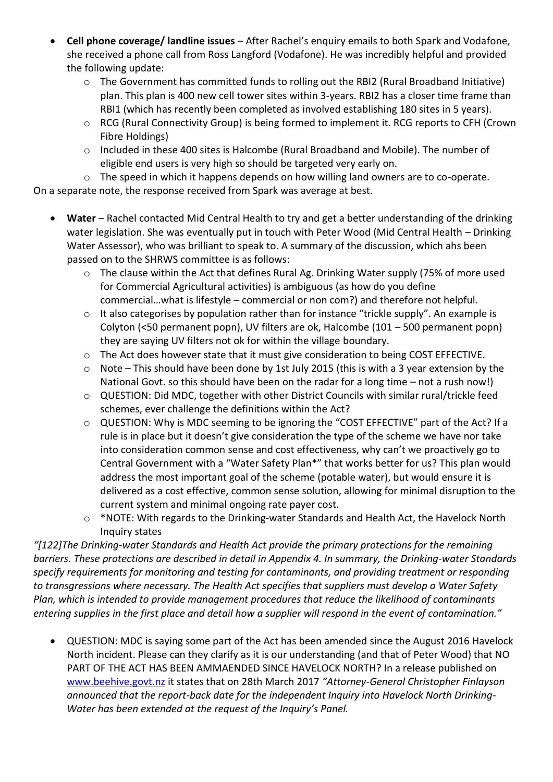- **Cell phone coverage/ landline issues** After Rachel's enquiry emails to both Spark and Vodafone, she received a phone call from Ross Langford (Vodafone). He was incredibly helpful and provided the following update:
	- o The Government has committed funds to rolling out the RBI2 (Rural Broadband Initiative) plan. This plan is 400 new cell tower sites within 3-years. RBI2 has a closer time frame than RBI1 (which has recently been completed as involved establishing 180 sites in 5 years).
	- o RCG (Rural Connectivity Group) is being formed to implement it. RCG reports to CFH (Crown Fibre Holdings)
	- o Included in these 400 sites is Halcombe (Rural Broadband and Mobile). The number of eligible end users is very high so should be targeted very early on.

o The speed in which it happens depends on how willing land owners are to co-operate. On a separate note, the response received from Spark was average at best.

- Water Rachel contacted Mid Central Health to try and get a better understanding of the drinking water legislation. She was eventually put in touch with Peter Wood (Mid Central Health – Drinking Water Assessor), who was brilliant to speak to. A summary of the discussion, which ahs been passed on to the SHRWS committee is as follows:
	- o The clause within the Act that defines Rural Ag. Drinking Water supply (75% of more used for Commercial Agricultural activities) is ambiguous (as how do you define commercial…what is lifestyle – commercial or non com?) and therefore not helpful.
	- o It also categorises by population rather than for instance "trickle supply". An example is Colyton (<50 permanent popn), UV filters are ok, Halcombe (101 – 500 permanent popn) they are saying UV filters not ok for within the village boundary.
	- o The Act does however state that it must give consideration to being COST EFFECTIVE.
	- o Note This should have been done by 1st July 2015 (this is with a 3 year extension by the National Govt. so this should have been on the radar for a long time – not a rush now!)
	- o QUESTION: Did MDC, together with other District Councils with similar rural/trickle feed schemes, ever challenge the definitions within the Act?
	- o QUESTION: Why is MDC seeming to be ignoring the "COST EFFECTIVE" part of the Act? If a rule is in place but it doesn't give consideration the type of the scheme we have nor take into consideration common sense and cost effectiveness, why can't we proactively go to Central Government with a "Water Safety Plan\*" that works better for us? This plan would address the most important goal of the scheme (potable water), but would ensure it is delivered as a cost effective, common sense solution, allowing for minimal disruption to the current system and minimal ongoing rate payer cost.
	- o \*NOTE: With regards to the Drinking-water Standards and Health Act, the Havelock North Inquiry states

*"[122]The Drinking-water Standards and Health Act provide the primary protections for the remaining barriers. These protections are described in detail in Appendix 4. In summary, the Drinking-water Standards specify requirements for monitoring and testing for contaminants, and providing treatment or responding to transgressions where necessary. The Health Act specifies that suppliers must develop a Water Safety Plan, which is intended to provide management procedures that reduce the likelihood of contaminants entering supplies in the first place and detail how a supplier will respond in the event of contamination."*

 QUESTION: MDC is saying some part of the Act has been amended since the August 2016 Havelock North incident. Please can they clarify as it is our understanding (and that of Peter Wood) that NO PART OF THE ACT HAS BEEN AMMAENDED SINCE HAVELOCK NORTH? In a release published on [www.beehive.govt.nz](http://www.beehive.govt.nz/) it states that on 28th March 2017 *"Attorney-General Christopher Finlayson announced that the report-back date for the independent Inquiry into Havelock North Drinking-Water has been extended at the request of the Inquiry's Panel.*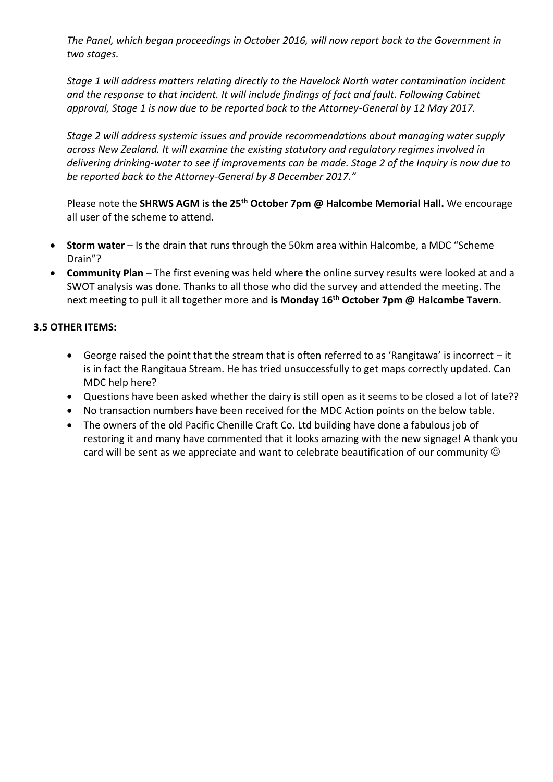*The Panel, which began proceedings in October 2016, will now report back to the Government in two stages.*

*Stage 1 will address matters relating directly to the Havelock North water contamination incident and the response to that incident. It will include findings of fact and fault. Following Cabinet approval, Stage 1 is now due to be reported back to the Attorney-General by 12 May 2017.*

*Stage 2 will address systemic issues and provide recommendations about managing water supply across New Zealand. It will examine the existing statutory and regulatory regimes involved in delivering drinking-water to see if improvements can be made. Stage 2 of the Inquiry is now due to be reported back to the Attorney-General by 8 December 2017."*

Please note the **SHRWS AGM is the 25th October 7pm @ Halcombe Memorial Hall.** We encourage all user of the scheme to attend.

- **Storm water**  Is the drain that runs through the 50km area within Halcombe, a MDC "Scheme Drain"?
- **Community Plan** The first evening was held where the online survey results were looked at and a SWOT analysis was done. Thanks to all those who did the survey and attended the meeting. The next meeting to pull it all together more and **is Monday 16th October 7pm @ Halcombe Tavern**.

## **3.5 OTHER ITEMS:**

- George raised the point that the stream that is often referred to as 'Rangitawa' is incorrect it is in fact the Rangitaua Stream. He has tried unsuccessfully to get maps correctly updated. Can MDC help here?
- Questions have been asked whether the dairy is still open as it seems to be closed a lot of late??
- No transaction numbers have been received for the MDC Action points on the below table.
- The owners of the old Pacific Chenille Craft Co. Ltd building have done a fabulous job of restoring it and many have commented that it looks amazing with the new signage! A thank you card will be sent as we appreciate and want to celebrate beautification of our community  $\odot$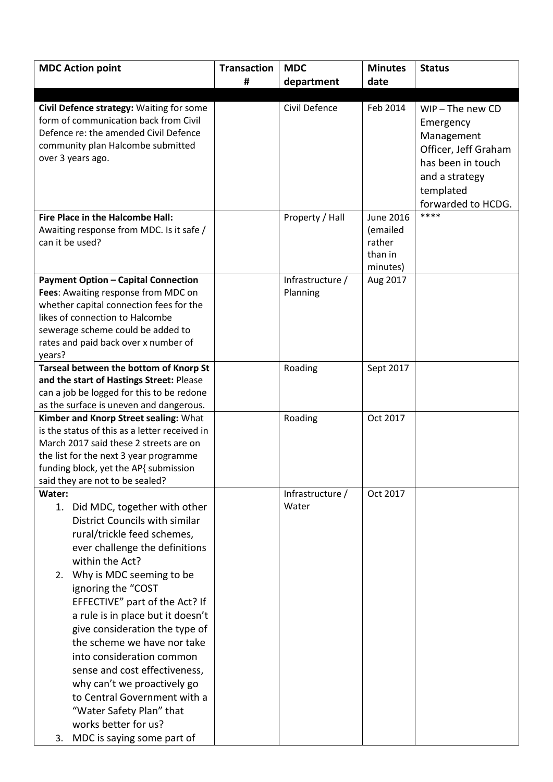| <b>MDC Action point</b>                       | <b>Transaction</b> | <b>MDC</b>       | <b>Minutes</b>   | <b>Status</b>        |
|-----------------------------------------------|--------------------|------------------|------------------|----------------------|
|                                               | #                  | department       | date             |                      |
|                                               |                    |                  |                  |                      |
| Civil Defence strategy: Waiting for some      |                    | Civil Defence    | Feb 2014         | $WIP$ – The new CD   |
| form of communication back from Civil         |                    |                  |                  | Emergency            |
| Defence re: the amended Civil Defence         |                    |                  |                  | Management           |
| community plan Halcombe submitted             |                    |                  |                  | Officer, Jeff Graham |
| over 3 years ago.                             |                    |                  |                  | has been in touch    |
|                                               |                    |                  |                  | and a strategy       |
|                                               |                    |                  |                  | templated            |
|                                               |                    |                  |                  | forwarded to HCDG.   |
| Fire Place in the Halcombe Hall:              |                    | Property / Hall  | <b>June 2016</b> | ****                 |
| Awaiting response from MDC. Is it safe /      |                    |                  | (emailed         |                      |
| can it be used?                               |                    |                  | rather           |                      |
|                                               |                    |                  | than in          |                      |
|                                               |                    |                  | minutes)         |                      |
| <b>Payment Option - Capital Connection</b>    |                    | Infrastructure / | Aug 2017         |                      |
| Fees: Awaiting response from MDC on           |                    | Planning         |                  |                      |
| whether capital connection fees for the       |                    |                  |                  |                      |
| likes of connection to Halcombe               |                    |                  |                  |                      |
| sewerage scheme could be added to             |                    |                  |                  |                      |
| rates and paid back over x number of          |                    |                  |                  |                      |
| years?                                        |                    |                  |                  |                      |
| Tarseal between the bottom of Knorp St        |                    | Roading          | Sept 2017        |                      |
| and the start of Hastings Street: Please      |                    |                  |                  |                      |
| can a job be logged for this to be redone     |                    |                  |                  |                      |
| as the surface is uneven and dangerous.       |                    |                  |                  |                      |
| Kimber and Knorp Street sealing: What         |                    | Roading          | Oct 2017         |                      |
| is the status of this as a letter received in |                    |                  |                  |                      |
| March 2017 said these 2 streets are on        |                    |                  |                  |                      |
| the list for the next 3 year programme        |                    |                  |                  |                      |
| funding block, yet the AP{ submission         |                    |                  |                  |                      |
| said they are not to be sealed?<br>Water:     |                    | Infrastructure / | Oct 2017         |                      |
| 1. Did MDC, together with other               |                    | Water            |                  |                      |
| District Councils with similar                |                    |                  |                  |                      |
|                                               |                    |                  |                  |                      |
| rural/trickle feed schemes,                   |                    |                  |                  |                      |
| ever challenge the definitions                |                    |                  |                  |                      |
| within the Act?                               |                    |                  |                  |                      |
| Why is MDC seeming to be<br>2.                |                    |                  |                  |                      |
| ignoring the "COST                            |                    |                  |                  |                      |
| EFFECTIVE" part of the Act? If                |                    |                  |                  |                      |
| a rule is in place but it doesn't             |                    |                  |                  |                      |
| give consideration the type of                |                    |                  |                  |                      |
| the scheme we have nor take                   |                    |                  |                  |                      |
| into consideration common                     |                    |                  |                  |                      |
| sense and cost effectiveness,                 |                    |                  |                  |                      |
| why can't we proactively go                   |                    |                  |                  |                      |
| to Central Government with a                  |                    |                  |                  |                      |
| "Water Safety Plan" that                      |                    |                  |                  |                      |
| works better for us?                          |                    |                  |                  |                      |
| MDC is saying some part of<br>3.              |                    |                  |                  |                      |